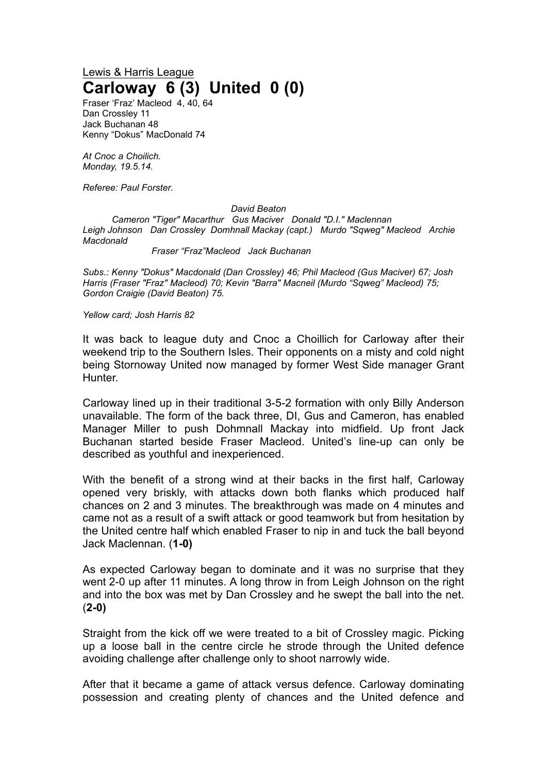## Lewis & Harris League **Carloway 6 (3) United 0 (0)**

Fraser 'Fraz' Macleod 4, 40, 64 Dan Crossley 11 Jack Buchanan 48 Kenny "Dokus" MacDonald 74

*At Cnoc a Choilich. Monday, 19.5.14.*

*Referee: Paul Forster.*

## *David Beaton*

*Cameron "Tiger" Macarthur Gus Maciver Donald "D.I." Maclennan Leigh Johnson Dan Crossley Domhnall Mackay (capt.) Murdo "Sqweg" Macleod Archie Macdonald*

*Fraser "Fraz"Macleod Jack Buchanan*

*Subs.: Kenny "Dokus" Macdonald (Dan Crossley) 46; Phil Macleod (Gus Maciver) 67; Josh Harris (Fraser "Fraz" Macleod) 70; Kevin "Barra" Macneil (Murdo "Sqweg" Macleod) 75; Gordon Craigie (David Beaton) 75.*

*Yellow card; Josh Harris 82*

It was back to league duty and Cnoc a Choillich for Carloway after their weekend trip to the Southern Isles. Their opponents on a misty and cold night being Stornoway United now managed by former West Side manager Grant Hunter.

Carloway lined up in their traditional 3-5-2 formation with only Billy Anderson unavailable. The form of the back three, DI, Gus and Cameron, has enabled Manager Miller to push Dohmnall Mackay into midfield. Up front Jack Buchanan started beside Fraser Macleod. United's line-up can only be described as youthful and inexperienced.

With the benefit of a strong wind at their backs in the first half, Carloway opened very briskly, with attacks down both flanks which produced half chances on 2 and 3 minutes. The breakthrough was made on 4 minutes and came not as a result of a swift attack or good teamwork but from hesitation by the United centre half which enabled Fraser to nip in and tuck the ball beyond Jack Maclennan. (**1-0)**

As expected Carloway began to dominate and it was no surprise that they went 2-0 up after 11 minutes. A long throw in from Leigh Johnson on the right and into the box was met by Dan Crossley and he swept the ball into the net. (**2-0)**

Straight from the kick off we were treated to a bit of Crossley magic. Picking up a loose ball in the centre circle he strode through the United defence avoiding challenge after challenge only to shoot narrowly wide.

After that it became a game of attack versus defence. Carloway dominating possession and creating plenty of chances and the United defence and